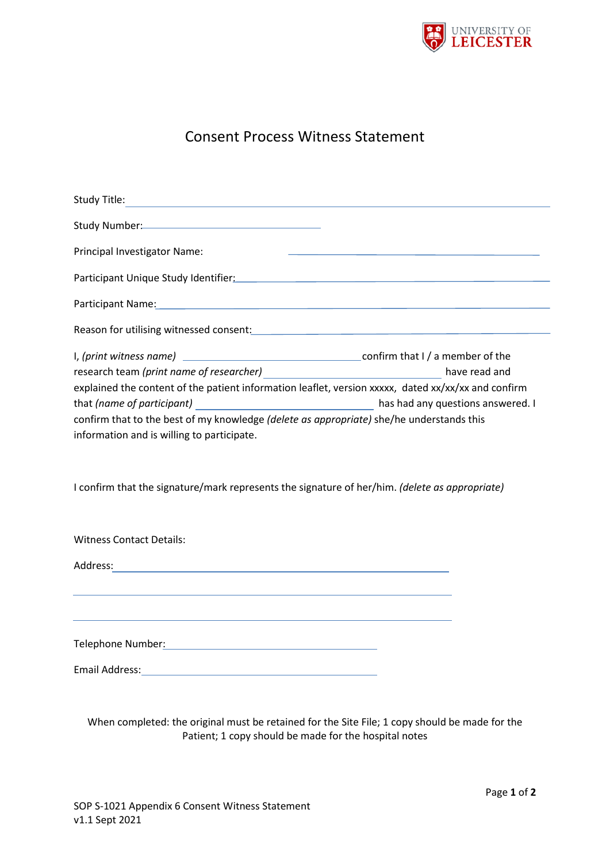

## Consent Process Witness Statement

| Study Title: <u>Conservation of the Conservation of the Conservation of the Conservation of the Conservation of the Conservation of the Conservation of the Conservation of the Conservation of the Conservation of the Conserva</u> |
|--------------------------------------------------------------------------------------------------------------------------------------------------------------------------------------------------------------------------------------|
|                                                                                                                                                                                                                                      |
| <u>state and the state of the state of the state of the state of the state of the state of the state of the state of the state of the state of the state of the state of the state of the state of the state of the state of the</u> |
|                                                                                                                                                                                                                                      |
| Participant Name: Name: Name and Alliance and Alliance and Alliance and Alliance and Alliance and Alliance and                                                                                                                       |
| Reason for utilising witnessed consent: Manual Community of the Community of the Community of the Community of                                                                                                                       |
|                                                                                                                                                                                                                                      |
|                                                                                                                                                                                                                                      |
| explained the content of the patient information leaflet, version xxxxx, dated xx/xx/xx and confirm                                                                                                                                  |
|                                                                                                                                                                                                                                      |
| confirm that to the best of my knowledge (delete as appropriate) she/he understands this                                                                                                                                             |
|                                                                                                                                                                                                                                      |
|                                                                                                                                                                                                                                      |
| I confirm that the signature/mark represents the signature of her/him. (delete as appropriate)                                                                                                                                       |
|                                                                                                                                                                                                                                      |

| <b>Witness Contact Details:</b>                                                                                                    |  |
|------------------------------------------------------------------------------------------------------------------------------------|--|
| Address:<br><u> 1989 - Johann Harry Barn, mars ar breist fan it ferfanging fan de ferfanging fan de ferfanging fan de ferfangi</u> |  |
|                                                                                                                                    |  |
| Telephone Number:                                                                                                                  |  |
| Email Address:                                                                                                                     |  |

When completed: the original must be retained for the Site File; 1 copy should be made for the Patient; 1 copy should be made for the hospital notes